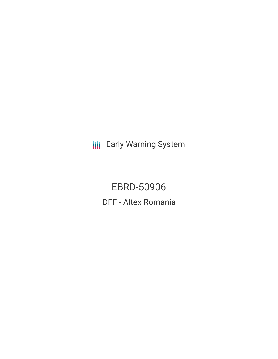**III** Early Warning System

EBRD-50906 DFF - Altex Romania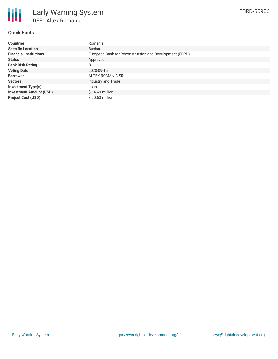

#### **Quick Facts**

| <b>Countries</b>               | Romania                                                 |
|--------------------------------|---------------------------------------------------------|
| <b>Specific Location</b>       | <b>Bucharest</b>                                        |
| <b>Financial Institutions</b>  | European Bank for Reconstruction and Development (EBRD) |
| <b>Status</b>                  | Approved                                                |
| <b>Bank Risk Rating</b>        | B                                                       |
| <b>Voting Date</b>             | 2020-09-15                                              |
| <b>Borrower</b>                | ALTEX ROMANIA SRL                                       |
| <b>Sectors</b>                 | Industry and Trade                                      |
| Investment Type(s)             | Loan                                                    |
| <b>Investment Amount (USD)</b> | $$14.49$ million                                        |
| <b>Project Cost (USD)</b>      | \$20.53 million                                         |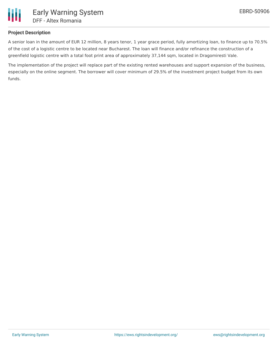

# **Project Description**

A senior loan in the amount of EUR 12 million, 8 years tenor, 1 year grace period, fully amortizing loan, to finance up to 70.5% of the cost of a logistic centre to be located near Bucharest. The loan will finance and/or refinance the construction of a greenfield logistic centre with a total foot print area of approximately 37,144 sqm, located in Dragomiresti Vale.

The implementation of the project will replace part of the existing rented warehouses and support expansion of the business, especially on the online segment. The borrower will cover minimum of 29.5% of the investment project budget from its own funds.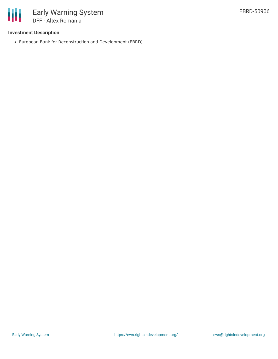

### **Investment Description**

European Bank for Reconstruction and Development (EBRD)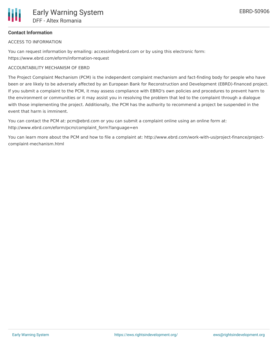

# **Contact Information**

ACCESS TO INFORMATION

You can request information by emailing: accessinfo@ebrd.com or by using this electronic form: https://www.ebrd.com/eform/information-request

#### ACCOUNTABILITY MECHANISM OF EBRD

The Project Complaint Mechanism (PCM) is the independent complaint mechanism and fact-finding body for people who have been or are likely to be adversely affected by an European Bank for Reconstruction and Development (EBRD)-financed project. If you submit a complaint to the PCM, it may assess compliance with EBRD's own policies and procedures to prevent harm to the environment or communities or it may assist you in resolving the problem that led to the complaint through a dialogue with those implementing the project. Additionally, the PCM has the authority to recommend a project be suspended in the event that harm is imminent.

You can contact the PCM at: pcm@ebrd.com or you can submit a complaint online using an online form at: http://www.ebrd.com/eform/pcm/complaint\_form?language=en

You can learn more about the PCM and how to file a complaint at: http://www.ebrd.com/work-with-us/project-finance/projectcomplaint-mechanism.html